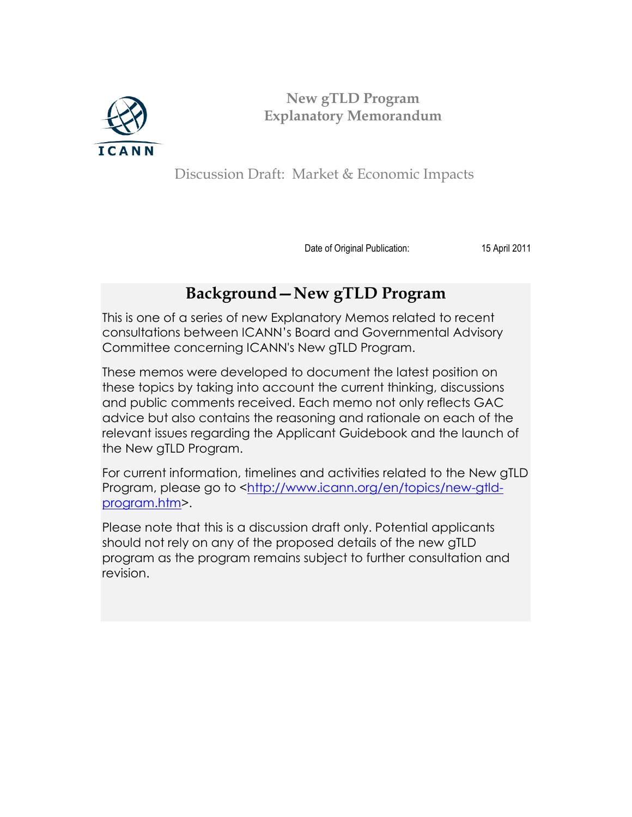

**New gTLD Program Explanatory Memorandum**

Discussion Draft: Market & Economic Impacts

Date of Original Publication: 15 April 2011

## **Background—New gTLD Program**

This is one of a series of new Explanatory Memos related to recent consultations between ICANN's Board and Governmental Advisory Committee concerning ICANN's New gTLD Program.

These memos were developed to document the latest position on these topics by taking into account the current thinking, discussions and public comments received. Each memo not only reflects GAC advice but also contains the reasoning and rationale on each of the relevant issues regarding the Applicant Guidebook and the launch of the New gTLD Program.

For current information, timelines and activities related to the New gTLD Program, please go to [<http://www.icann.org/en/topics/new-gtld](http://www.icann.org/en/topics/new-gtld-program.htm)[program.htm>](http://www.icann.org/en/topics/new-gtld-program.htm).

Please note that this is a discussion draft only. Potential applicants should not rely on any of the proposed details of the new gTLD program as the program remains subject to further consultation and revision.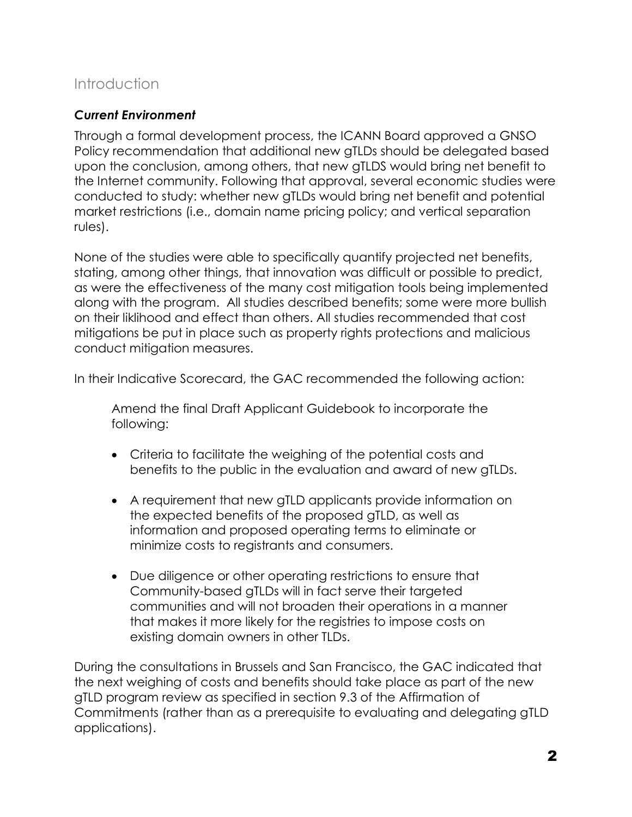### Introduction

### *Current Environment*

Through a formal development process, the ICANN Board approved a GNSO Policy recommendation that additional new gTLDs should be delegated based upon the conclusion, among others, that new gTLDS would bring net benefit to the Internet community. Following that approval, several economic studies were conducted to study: whether new gTLDs would bring net benefit and potential market restrictions (i.e., domain name pricing policy; and vertical separation rules).

None of the studies were able to specifically quantify projected net benefits, stating, among other things, that innovation was difficult or possible to predict, as were the effectiveness of the many cost mitigation tools being implemented along with the program. All studies described benefits; some were more bullish on their liklihood and effect than others. All studies recommended that cost mitigations be put in place such as property rights protections and malicious conduct mitigation measures.

In their Indicative Scorecard, the GAC recommended the following action:

Amend the final Draft Applicant Guidebook to incorporate the following:

- Criteria to facilitate the weighing of the potential costs and benefits to the public in the evaluation and award of new gTLDs.
- A requirement that new gTLD applicants provide information on the expected benefits of the proposed gTLD, as well as information and proposed operating terms to eliminate or minimize costs to registrants and consumers.
- Due diligence or other operating restrictions to ensure that Community-based gTLDs will in fact serve their targeted communities and will not broaden their operations in a manner that makes it more likely for the registries to impose costs on existing domain owners in other TLDs.

During the consultations in Brussels and San Francisco, the GAC indicated that the next weighing of costs and benefits should take place as part of the new gTLD program review as specified in section 9.3 of the Affirmation of Commitments (rather than as a prerequisite to evaluating and delegating gTLD applications).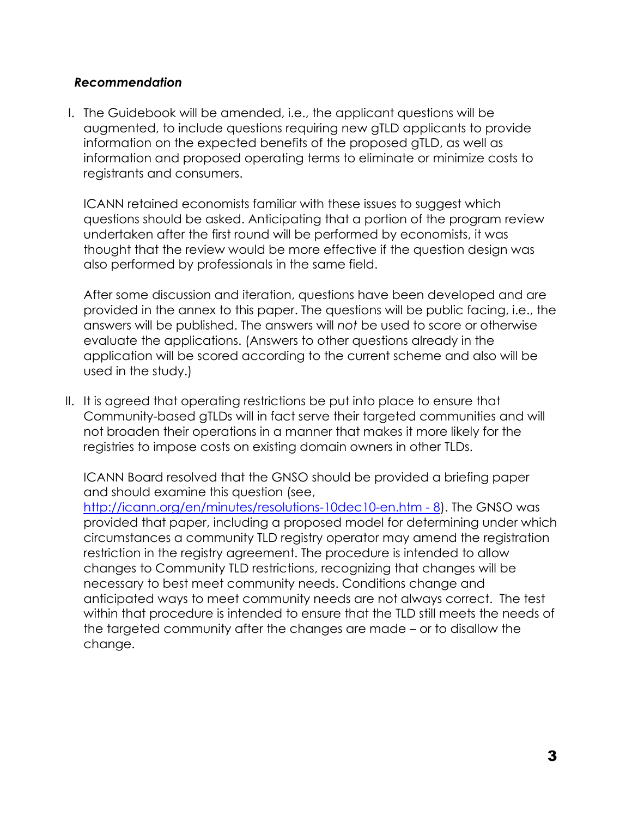#### *Recommendation*

I. The Guidebook will be amended, i.e., the applicant questions will be augmented, to include questions requiring new gTLD applicants to provide information on the expected benefits of the proposed gTLD, as well as information and proposed operating terms to eliminate or minimize costs to registrants and consumers.

ICANN retained economists familiar with these issues to suggest which questions should be asked. Anticipating that a portion of the program review undertaken after the first round will be performed by economists, it was thought that the review would be more effective if the question design was also performed by professionals in the same field.

After some discussion and iteration, questions have been developed and are provided in the annex to this paper. The questions will be public facing, i.e., the answers will be published. The answers will *not* be used to score or otherwise evaluate the applications. (Answers to other questions already in the application will be scored according to the current scheme and also will be used in the study.)

II. It is agreed that operating restrictions be put into place to ensure that Community-based gTLDs will in fact serve their targeted communities and will not broaden their operations in a manner that makes it more likely for the registries to impose costs on existing domain owners in other TLDs.

ICANN Board resolved that the GNSO should be provided a briefing paper and should examine this question (see,

[http://icann.org/en/minutes/resolutions-10dec10-en.htm -](http://icann.org/en/minutes/resolutions-10dec10-en.htm#8) 8). The GNSO was provided that paper, including a proposed model for determining under which circumstances a community TLD registry operator may amend the registration restriction in the registry agreement. The procedure is intended to allow changes to Community TLD restrictions, recognizing that changes will be necessary to best meet community needs. Conditions change and anticipated ways to meet community needs are not always correct. The test within that procedure is intended to ensure that the TLD still meets the needs of the targeted community after the changes are made – or to disallow the change.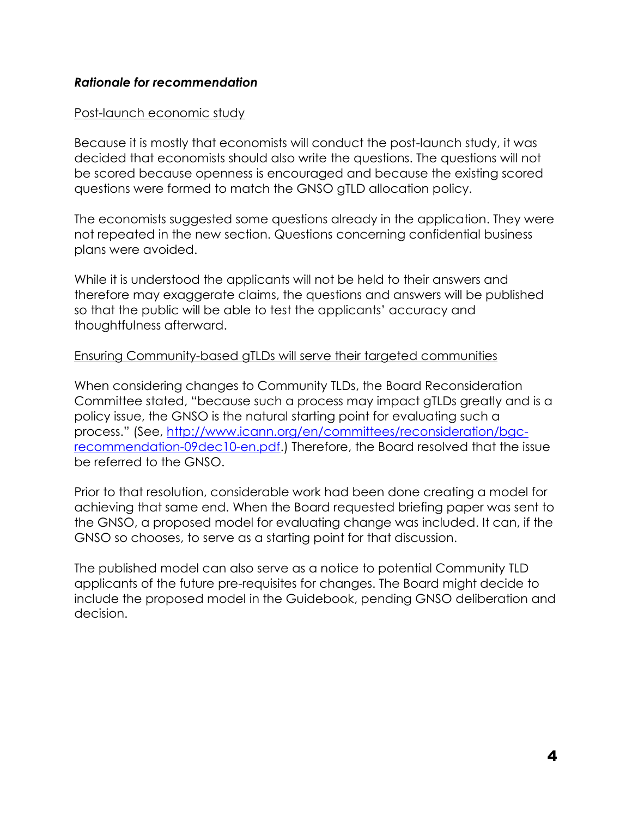#### *Rationale for recommendation*

#### Post-launch economic study

Because it is mostly that economists will conduct the post-launch study, it was decided that economists should also write the questions. The questions will not be scored because openness is encouraged and because the existing scored questions were formed to match the GNSO gTLD allocation policy.

The economists suggested some questions already in the application. They were not repeated in the new section. Questions concerning confidential business plans were avoided.

While it is understood the applicants will not be held to their answers and therefore may exaggerate claims, the questions and answers will be published so that the public will be able to test the applicants' accuracy and thoughtfulness afterward.

#### Ensuring Community-based gTLDs will serve their targeted communities

When considering changes to Community TLDs, the Board Reconsideration Committee stated, "because such a process may impact gTLDs greatly and is a policy issue, the GNSO is the natural starting point for evaluating such a process." (See, [http://www.icann.org/en/committees/reconsideration/bgc](http://www.icann.org/en/committees/reconsideration/bgc-recommendation-09dec10-en.pdf)[recommendation-09dec10-en.pdf.](http://www.icann.org/en/committees/reconsideration/bgc-recommendation-09dec10-en.pdf)) Therefore, the Board resolved that the issue be referred to the GNSO.

Prior to that resolution, considerable work had been done creating a model for achieving that same end. When the Board requested briefing paper was sent to the GNSO, a proposed model for evaluating change was included. It can, if the GNSO so chooses, to serve as a starting point for that discussion.

The published model can also serve as a notice to potential Community TLD applicants of the future pre-requisites for changes. The Board might decide to include the proposed model in the Guidebook, pending GNSO deliberation and decision.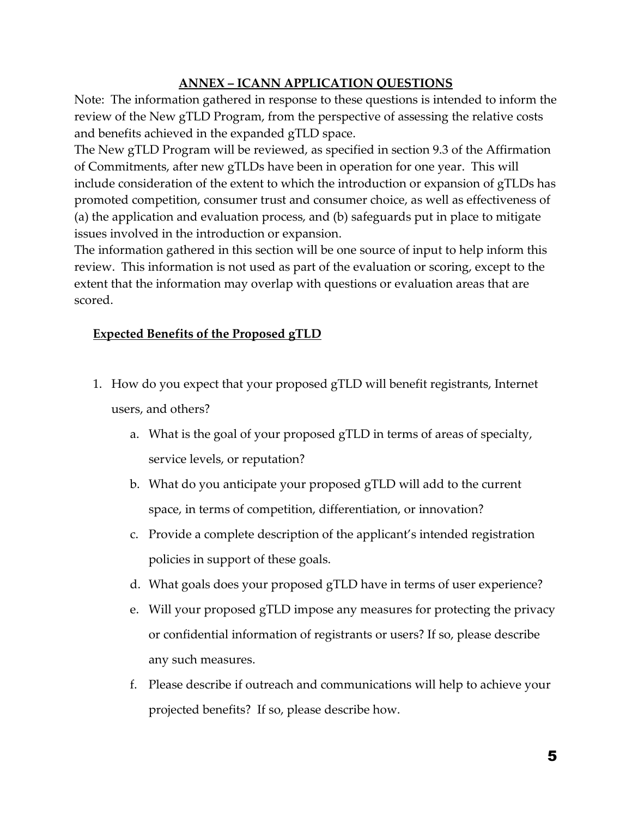#### **ANNEX – ICANN APPLICATION QUESTIONS**

Note: The information gathered in response to these questions is intended to inform the review of the New gTLD Program, from the perspective of assessing the relative costs and benefits achieved in the expanded gTLD space.

The New gTLD Program will be reviewed, as specified in section 9.3 of the Affirmation of Commitments, after new gTLDs have been in operation for one year. This will include consideration of the extent to which the introduction or expansion of gTLDs has promoted competition, consumer trust and consumer choice, as well as effectiveness of (a) the application and evaluation process, and (b) safeguards put in place to mitigate issues involved in the introduction or expansion.

The information gathered in this section will be one source of input to help inform this review. This information is not used as part of the evaluation or scoring, except to the extent that the information may overlap with questions or evaluation areas that are scored.

#### **Expected Benefits of the Proposed gTLD**

- 1. How do you expect that your proposed gTLD will benefit registrants, Internet users, and others?
	- a. What is the goal of your proposed gTLD in terms of areas of specialty, service levels, or reputation?
	- b. What do you anticipate your proposed gTLD will add to the current space, in terms of competition, differentiation, or innovation?
	- c. Provide a complete description of the applicant's intended registration policies in support of these goals.
	- d. What goals does your proposed gTLD have in terms of user experience?
	- e. Will your proposed gTLD impose any measures for protecting the privacy or confidential information of registrants or users? If so, please describe any such measures.
	- f. Please describe if outreach and communications will help to achieve your projected benefits? If so, please describe how.